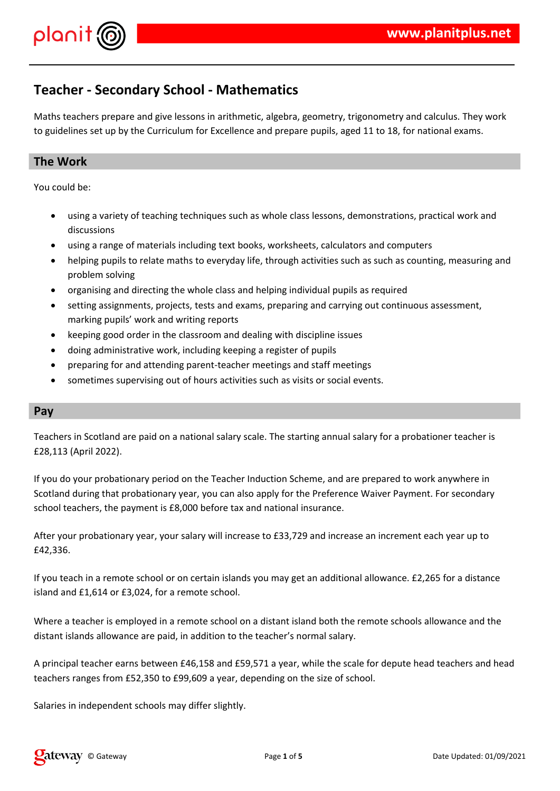

## **Teacher - Secondary School - Mathematics**

Maths teachers prepare and give lessons in arithmetic, algebra, geometry, trigonometry and calculus. They work to guidelines set up by the Curriculum for Excellence and prepare pupils, aged 11 to 18, for national exams.

### **The Work**

You could be:

- using a variety of teaching techniques such as whole class lessons, demonstrations, practical work and discussions
- using a range of materials including text books, worksheets, calculators and computers
- helping pupils to relate maths to everyday life, through activities such as such as counting, measuring and problem solving
- organising and directing the whole class and helping individual pupils as required
- setting assignments, projects, tests and exams, preparing and carrying out continuous assessment, marking pupils' work and writing reports
- keeping good order in the classroom and dealing with discipline issues
- doing administrative work, including keeping a register of pupils
- preparing for and attending parent-teacher meetings and staff meetings
- sometimes supervising out of hours activities such as visits or social events.

### **Pay**

Teachers in Scotland are paid on a national salary scale. The starting annual salary for a probationer teacher is £28,113 (April 2022).

If you do your probationary period on the Teacher Induction Scheme, and are prepared to work anywhere in Scotland during that probationary year, you can also apply for the Preference Waiver Payment. For secondary school teachers, the payment is £8,000 before tax and national insurance.

After your probationary year, your salary will increase to £33,729 and increase an increment each year up to £42,336.

If you teach in a remote school or on certain islands you may get an additional allowance. £2,265 for a distance island and £1,614 or £3,024, for a remote school.

Where a teacher is employed in a remote school on a distant island both the remote schools allowance and the distant islands allowance are paid, in addition to the teacher's normal salary.

A principal teacher earns between £46,158 and £59,571 a year, while the scale for depute head teachers and head teachers ranges from £52,350 to £99,609 a year, depending on the size of school.

Salaries in independent schools may differ slightly.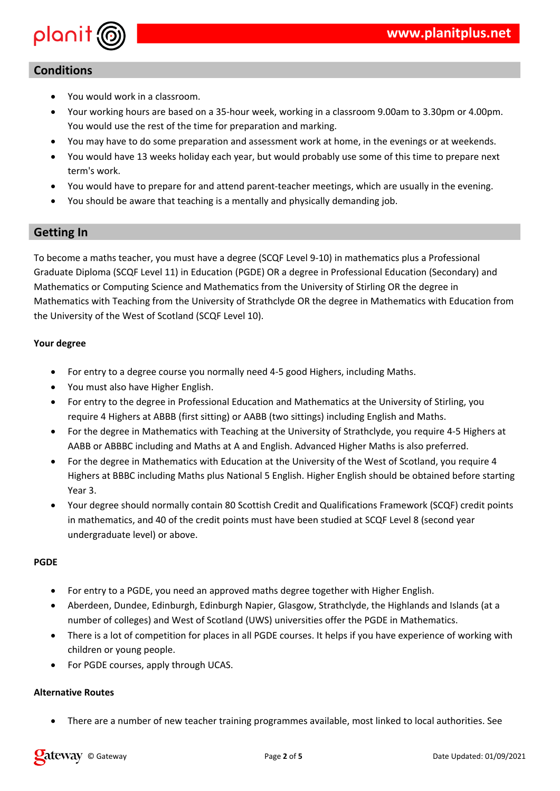

## **Conditions**

- You would work in a classroom.
- Your working hours are based on a 35-hour week, working in a classroom 9.00am to 3.30pm or 4.00pm. You would use the rest of the time for preparation and marking.
- You may have to do some preparation and assessment work at home, in the evenings or at weekends.
- You would have 13 weeks holiday each year, but would probably use some of this time to prepare next term's work.
- You would have to prepare for and attend parent-teacher meetings, which are usually in the evening.
- You should be aware that teaching is a mentally and physically demanding job.

### **Getting In**

To become a maths teacher, you must have a degree (SCQF Level 9-10) in mathematics plus a Professional Graduate Diploma (SCQF Level 11) in Education (PGDE) OR a degree in Professional Education (Secondary) and Mathematics or Computing Science and Mathematics from the University of Stirling OR the degree in Mathematics with Teaching from the University of Strathclyde OR the degree in Mathematics with Education from the University of the West of Scotland (SCQF Level 10).

#### **Your degree**

- For entry to a degree course you normally need 4-5 good Highers, including Maths.
- You must also have Higher English.
- For entry to the degree in Professional Education and Mathematics at the University of Stirling, you require 4 Highers at ABBB (first sitting) or AABB (two sittings) including English and Maths.
- For the degree in Mathematics with Teaching at the University of Strathclyde, you require 4-5 Highers at AABB or ABBBC including and Maths at A and English. Advanced Higher Maths is also preferred.
- For the degree in Mathematics with Education at the University of the West of Scotland, you require 4 Highers at BBBC including Maths plus National 5 English. Higher English should be obtained before starting Year 3.
- Your degree should normally contain 80 Scottish Credit and Qualifications Framework (SCQF) credit points in mathematics, and 40 of the credit points must have been studied at SCQF Level 8 (second year undergraduate level) or above.

#### **PGDE**

- For entry to a PGDE, you need an approved maths degree together with Higher English.
- Aberdeen, Dundee, Edinburgh, Edinburgh Napier, Glasgow, Strathclyde, the Highlands and Islands (at a number of colleges) and West of Scotland (UWS) universities offer the PGDE in Mathematics.
- There is a lot of competition for places in all PGDE courses. It helps if you have experience of working with children or young people.
- For PGDE courses, apply through UCAS.

#### **Alternative Routes**

There are a number of new teacher training programmes available, most linked to local authorities. See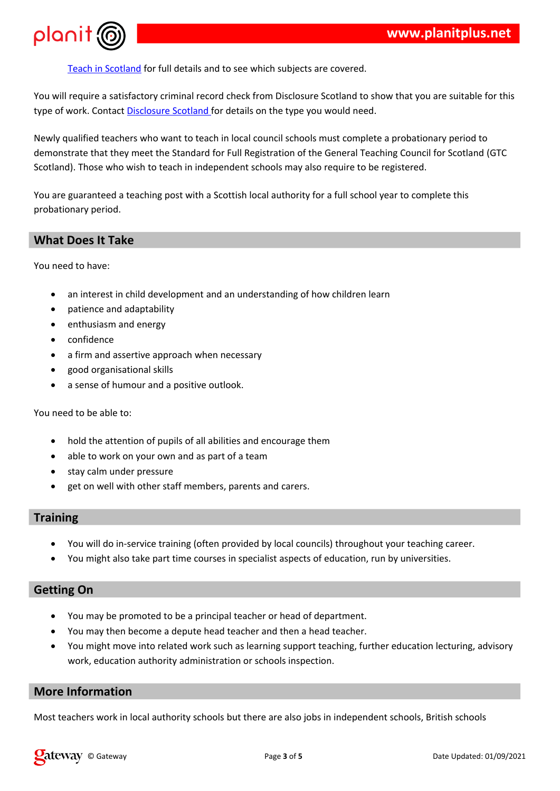

|                        | $\mathbf{H}$ |  |              |  |
|------------------------|--------------|--|--------------|--|
| $\star$ $\blacksquare$ |              |  |              |  |
|                        |              |  |              |  |
|                        |              |  | $\mathbf{u}$ |  |
|                        |              |  |              |  |
|                        | ш            |  |              |  |

|                                                                                                                                                                                                                                                                                                                     | % |  |
|---------------------------------------------------------------------------------------------------------------------------------------------------------------------------------------------------------------------------------------------------------------------------------------------------------------------|---|--|
| $\frac{1}{2}$ $\frac{1}{2}$ $\frac{1}{2}$ $\frac{1}{2}$ $\frac{1}{2}$ $\frac{1}{2}$ $\frac{1}{2}$ $\frac{1}{2}$ $\frac{1}{2}$ $\frac{1}{2}$ $\frac{1}{2}$ $\frac{1}{2}$ $\frac{1}{2}$ $\frac{1}{2}$ $\frac{1}{2}$ $\frac{1}{2}$ $\frac{1}{2}$ $\frac{1}{2}$ $\frac{1}{2}$ $\frac{1}{2}$ $\frac{1}{2}$ $\frac{1}{2}$ |   |  |
|                                                                                                                                                                                                                                                                                                                     |   |  |

|  | $\frac{1}{2}$ $\frac{9}{6}$ "                                                       |  |                                                                                                                                                                                                                                                                                                                     |  |  |  |  |
|--|-------------------------------------------------------------------------------------|--|---------------------------------------------------------------------------------------------------------------------------------------------------------------------------------------------------------------------------------------------------------------------------------------------------------------------|--|--|--|--|
|  | and the contract of the contract of the contract of the contract of the contract of |  |                                                                                                                                                                                                                                                                                                                     |  |  |  |  |
|  |                                                                                     |  | $\frac{1}{1}$ $\frac{1}{1}$ $\frac{1}{1}$ $\frac{1}{1}$ $\frac{1}{1}$ $\frac{1}{1}$ $\frac{1}{1}$ $\frac{1}{1}$ $\frac{1}{1}$ $\frac{1}{1}$ $\frac{1}{1}$ $\frac{1}{1}$ $\frac{1}{1}$ $\frac{1}{1}$ $\frac{1}{1}$ $\frac{1}{1}$ $\frac{1}{1}$ $\frac{1}{1}$ $\frac{1}{1}$ $\frac{1}{1}$ $\frac{1}{1}$ $\frac{1}{1}$ |  |  |  |  |
|  |                                                                                     |  |                                                                                                                                                                                                                                                                                                                     |  |  |  |  |

| $\star$ $\blacksquare$<br>$\star$ = $\,$ = $\,$ = $\,$ = $\,$ = $\,$ = $\,$ = $\,$ = $\,$ = $\,$ = $\,$ = $\,$ = $\,$ = $\,$ = $\,$ = $\,$ = $\,$ = $\,$ = $\,$ = $\,$ = $\,$ = $\,$ = $\,$ = $\,$ = $\,$ = $\,$ = $\,$ = $\,$ = $\,$ = $\,$ = $\,$ = $\,$ |              | $\sim$<br>$\%$          | $\sim 100$     | 2 <sup>1</sup> |              | $\mathcal{O}(\mathbb{R}^n)$ |   | $\overline{4}$ " "<br>$\mathbb{R}^n$ and $\mathbb{R}^n$ . In the $\mathbb{R}^n$ |              | #<br># |
|------------------------------------------------------------------------------------------------------------------------------------------------------------------------------------------------------------------------------------------------------------|--------------|-------------------------|----------------|----------------|--------------|-----------------------------|---|---------------------------------------------------------------------------------|--------------|--------|
|                                                                                                                                                                                                                                                            |              |                         |                |                |              |                             |   |                                                                                 |              |        |
| $\star$ – $\textsf{H}$<br>$\star$ $\blacksquare$                                                                                                                                                                                                           | $\mathbf{1}$ | $\sim 1$ .              | $\blacksquare$ |                |              |                             |   | #<br>#                                                                          |              |        |
| $\star$ – $\textbf{H}$<br>$\%$                                                                                                                                                                                                                             | $\sim 0$     | <b>Contract Manager</b> | $\%$ "         |                | $\mathbf{H}$ |                             | # | $\mathbf{H}$                                                                    | $\mathbf{H}$ | Π      |
|                                                                                                                                                                                                                                                            |              |                         |                |                |              |                             |   |                                                                                 |              |        |

 $\overset{\mathfrak{m}}{=}=\begin{pmatrix} 1 \\ 0 \end{pmatrix}$  $\frac{1}{2}$  $\mathsf{C}$  $\%$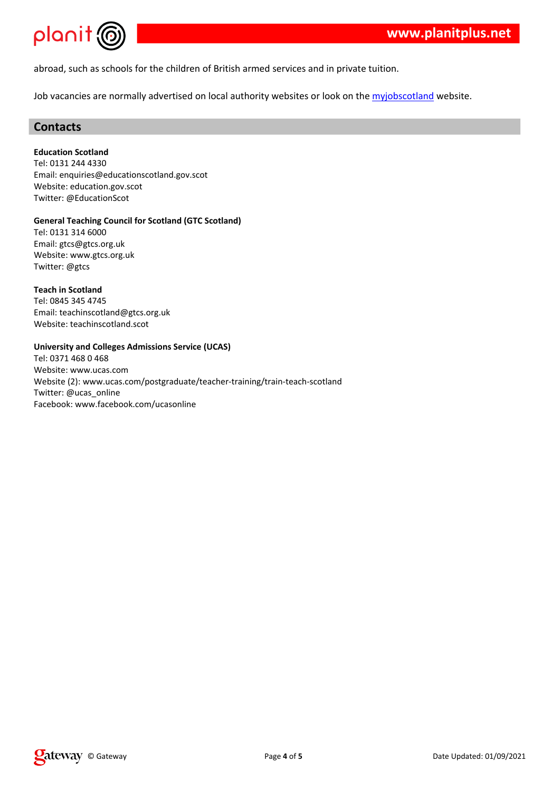|  |  |  |  | E! # |  |
|--|--|--|--|------|--|

 $\sim$   $\sim$ 

 $\star$ 

 $\sim 10^{-11}$  .

| $\#$<br>\$<br>$\frac{1}{6}$<br>\$ | $\mathbf{I}$             | 1 99 911<br>$+$ " F "<br>$\#$<br>#<br>$\sim$ 10<br>#<br>#<br>$F'$ "                                       |
|-----------------------------------|--------------------------|-----------------------------------------------------------------------------------------------------------|
| \$<br>$\frac{1}{6}$<br>\$         | $\overline{\phantom{a}}$ | $\ddot{}$<br>$\pmb{\cdot}$<br>1 <sup>1</sup><br>$\mathbf{1}$<br>9<br>$\sim$<br>F # #"%<br># #"%<br>#<br>F |
| \$<br>$\bar{1}$<br>$\,6$          | $\overline{\phantom{a}}$ | 9; 19; 989;<br>#<br># " %<br>F<br>#                                                                       |
|                                   | %                        | $+ - \%$<br>\$<br>$\overline{\phantom{a}}$                                                                |
| \$<br>$\,6$                       | $\mathbf{I}$             | $18 \t 9:$<br>9:<br>$\#$ "<br>#                                                                           |
| $\, 6$                            | $\overline{\phantom{a}}$ | Ħ<br>24#<br>$\#$<br>٠                                                                                     |
| \$                                |                          | - F "<br>G                                                                                                |

 $7 \t 96 \t \# \t 96 \t \#$